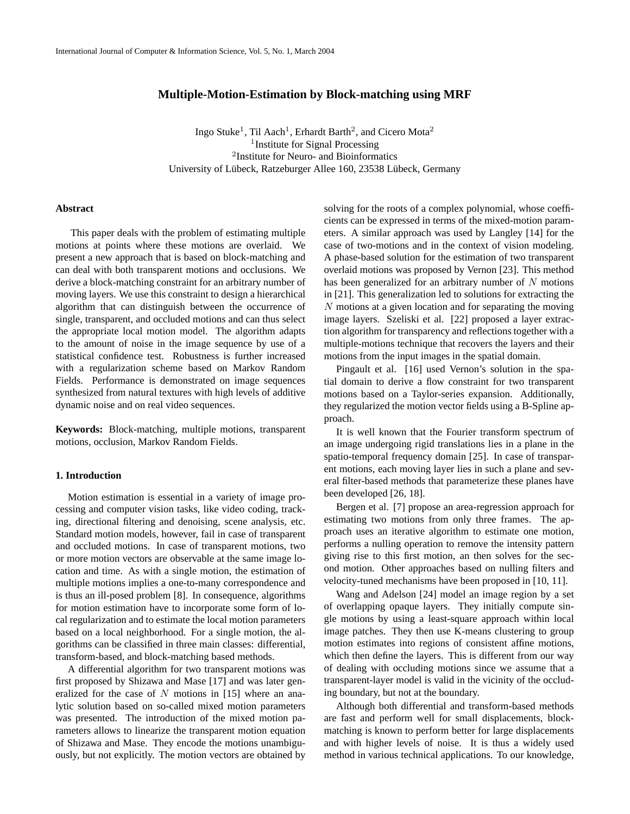# **Multiple-Motion-Estimation by Block-matching using MRF**

Ingo Stuke<sup>1</sup>, Til Aach<sup>1</sup>, Erhardt Barth<sup>2</sup>, and Cicero Mota<sup>2</sup> <sup>1</sup> Institute for Signal Processing 2 Institute for Neuro- and Bioinformatics University of Lübeck, Ratzeburger Allee 160, 23538 Lübeck, Germany

# **Abstract**

This paper deals with the problem of estimating multiple motions at points where these motions are overlaid. We present a new approach that is based on block-matching and can deal with both transparent motions and occlusions. We derive a block-matching constraint for an arbitrary number of moving layers. We use this constraint to design a hierarchical algorithm that can distinguish between the occurrence of single, transparent, and occluded motions and can thus select the appropriate local motion model. The algorithm adapts to the amount of noise in the image sequence by use of a statistical confidence test. Robustness is further increased with a regularization scheme based on Markov Random Fields. Performance is demonstrated on image sequences synthesized from natural textures with high levels of additive dynamic noise and on real video sequences.

**Keywords:** Block-matching, multiple motions, transparent motions, occlusion, Markov Random Fields.

# **1. Introduction**

Motion estimation is essential in a variety of image processing and computer vision tasks, like video coding, tracking, directional filtering and denoising, scene analysis, etc. Standard motion models, however, fail in case of transparent and occluded motions. In case of transparent motions, two or more motion vectors are observable at the same image location and time. As with a single motion, the estimation of multiple motions implies a one-to-many correspondence and is thus an ill-posed problem [8]. In consequence, algorithms for motion estimation have to incorporate some form of local regularization and to estimate the local motion parameters based on a local neighborhood. For a single motion, the algorithms can be classified in three main classes: differential, transform-based, and block-matching based methods.

A differential algorithm for two transparent motions was first proposed by Shizawa and Mase [17] and was later generalized for the case of  $N$  motions in [15] where an analytic solution based on so-called mixed motion parameters was presented. The introduction of the mixed motion parameters allows to linearize the transparent motion equation of Shizawa and Mase. They encode the motions unambiguously, but not explicitly. The motion vectors are obtained by solving for the roots of a complex polynomial, whose coefficients can be expressed in terms of the mixed-motion parameters. A similar approach was used by Langley [14] for the case of two-motions and in the context of vision modeling. A phase-based solution for the estimation of two transparent overlaid motions was proposed by Vernon [23]. This method has been generalized for an arbitrary number of  $N$  motions in [21]. This generalization led to solutions for extracting the N motions at a given location and for separating the moving image layers. Szeliski et al. [22] proposed a layer extraction algorithm for transparency and reflections together with a multiple-motions technique that recovers the layers and their motions from the input images in the spatial domain.

Pingault et al. [16] used Vernon's solution in the spatial domain to derive a flow constraint for two transparent motions based on a Taylor-series expansion. Additionally, they regularized the motion vector fields using a B-Spline approach.

It is well known that the Fourier transform spectrum of an image undergoing rigid translations lies in a plane in the spatio-temporal frequency domain [25]. In case of transparent motions, each moving layer lies in such a plane and several filter-based methods that parameterize these planes have been developed [26, 18].

Bergen et al. [7] propose an area-regression approach for estimating two motions from only three frames. The approach uses an iterative algorithm to estimate one motion, performs a nulling operation to remove the intensity pattern giving rise to this first motion, an then solves for the second motion. Other approaches based on nulling filters and velocity-tuned mechanisms have been proposed in [10, 11].

Wang and Adelson [24] model an image region by a set of overlapping opaque layers. They initially compute single motions by using a least-square approach within local image patches. They then use K-means clustering to group motion estimates into regions of consistent affine motions, which then define the layers. This is different from our way of dealing with occluding motions since we assume that a transparent-layer model is valid in the vicinity of the occluding boundary, but not at the boundary.

Although both differential and transform-based methods are fast and perform well for small displacements, blockmatching is known to perform better for large displacements and with higher levels of noise. It is thus a widely used method in various technical applications. To our knowledge,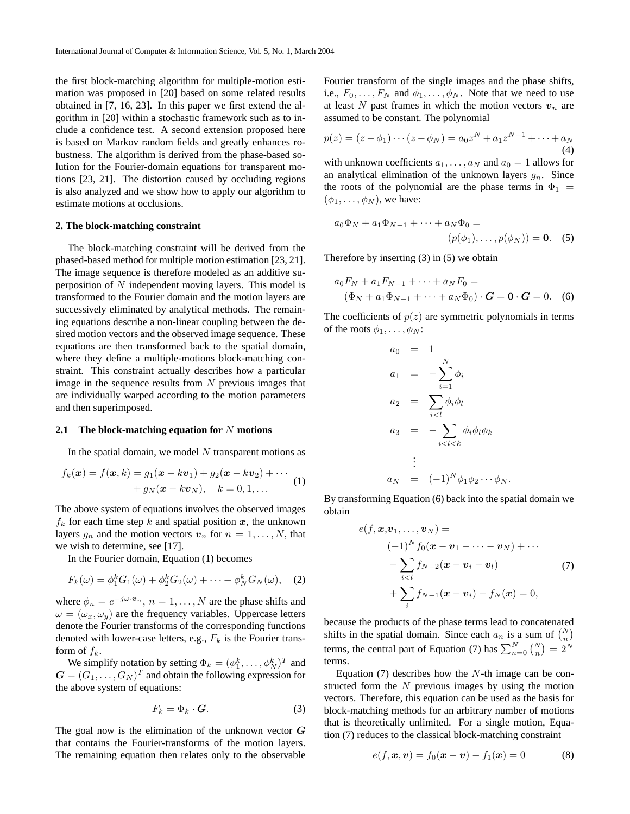the first block-matching algorithm for multiple-motion estimation was proposed in [20] based on some related results obtained in [7, 16, 23]. In this paper we first extend the algorithm in [20] within a stochastic framework such as to include a confidence test. A second extension proposed here is based on Markov random fields and greatly enhances robustness. The algorithm is derived from the phase-based solution for the Fourier-domain equations for transparent motions [23, 21]. The distortion caused by occluding regions is also analyzed and we show how to apply our algorithm to estimate motions at occlusions.

# **2. The block-matching constraint**

The block-matching constraint will be derived from the phased-based method for multiple motion estimation [23, 21]. The image sequence is therefore modeled as an additive superposition of N independent moving layers. This model is transformed to the Fourier domain and the motion layers are successively eliminated by analytical methods. The remaining equations describe a non-linear coupling between the desired motion vectors and the observed image sequence. These equations are then transformed back to the spatial domain, where they define a multiple-motions block-matching constraint. This constraint actually describes how a particular image in the sequence results from  $N$  previous images that are individually warped according to the motion parameters and then superimposed.

### **2.1 The block-matching equation for** N **motions**

In the spatial domain, we model  $N$  transparent motions as

$$
f_k(\boldsymbol{x}) = f(\boldsymbol{x}, k) = g_1(\boldsymbol{x} - k\boldsymbol{v}_1) + g_2(\boldsymbol{x} - k\boldsymbol{v}_2) + \cdots + g_N(\boldsymbol{x} - k\boldsymbol{v}_N), \quad k = 0, 1, \dots
$$
 (1)

The above system of equations involves the observed images  $f_k$  for each time step k and spatial position x, the unknown layers  $g_n$  and the motion vectors  $v_n$  for  $n = 1, \ldots, N$ , that we wish to determine, see [17].

In the Fourier domain, Equation (1) becomes

$$
F_k(\omega) = \phi_1^k G_1(\omega) + \phi_2^k G_2(\omega) + \dots + \phi_N^k G_N(\omega), \quad (2)
$$

where  $\phi_n = e^{-j\omega \cdot \mathbf{v}_n}$ ,  $n = 1, \dots, N$  are the phase shifts and  $\omega = (\omega_x, \omega_y)$  are the frequency variables. Uppercase letters denote the Fourier transforms of the corresponding functions denoted with lower-case letters, e.g.,  $F_k$  is the Fourier transform of  $f_k$ .

We simplify notation by setting  $\Phi_k = (\phi_1^k, \dots, \phi_N^k)^T$  and  $\mathbf{G} = (G_1, \dots, G_N)^T$  and obtain the following expression for the above system of equations:

$$
F_k = \Phi_k \cdot \mathbf{G}.\tag{3}
$$

The goal now is the elimination of the unknown vector  $G$ that contains the Fourier-transforms of the motion layers. The remaining equation then relates only to the observable Fourier transform of the single images and the phase shifts, i.e.,  $F_0, \ldots, F_N$  and  $\phi_1, \ldots, \phi_N$ . Note that we need to use at least N past frames in which the motion vectors  $v_n$  are assumed to be constant. The polynomial

$$
p(z) = (z - \phi_1) \cdots (z - \phi_N) = a_0 z^N + a_1 z^{N-1} + \cdots + a_N
$$
  
(4)

with unknown coefficients  $a_1, \ldots, a_N$  and  $a_0 = 1$  allows for an analytical elimination of the unknown layers  $g_n$ . Since the roots of the polynomial are the phase terms in  $\Phi_1$  =  $(\phi_1, \ldots, \phi_N)$ , we have:

$$
a_0\Phi_N + a_1\Phi_{N-1} + \dots + a_N\Phi_0 =
$$
  
( $p(\phi_1), \dots, p(\phi_N)$ ) = **0.** (5)

Therefore by inserting (3) in (5) we obtain

$$
a_0F_N + a_1F_{N-1} + \dots + a_NF_0 =
$$
  
\n
$$
(\Phi_N + a_1\Phi_{N-1} + \dots + a_N\Phi_0) \cdot \mathbf{G} = \mathbf{0} \cdot \mathbf{G} = 0.
$$
 (6)

The coefficients of  $p(z)$  are symmetric polynomials in terms of the roots  $\phi_1, \ldots, \phi_N$ :

$$
a_0 = 1
$$
  
\n
$$
a_1 = -\sum_{i=1}^{N} \phi_i
$$
  
\n
$$
a_2 = \sum_{i  
\n
$$
a_3 = -\sum_{i  
\n:  
\n
$$
a_N = (-1)^N \phi_1 \phi_2 \cdots \phi_N.
$$
$$
$$

By transforming Equation (6) back into the spatial domain we obtain

$$
e(f, x, v_1, ..., v_N) =
$$
  
\n
$$
(-1)^N f_0(x - v_1 - ... - v_N) + ...
$$
  
\n
$$
- \sum_{i < l} f_{N-2}(x - v_i - v_l)
$$
  
\n
$$
+ \sum_i f_{N-1}(x - v_i) - f_N(x) = 0,
$$
\n(7)

because the products of the phase terms lead to concatenated shifts in the spatial domain. Since each  $a_n$  is a sum of  $\binom{N}{n}$ terms, the central part of Equation (7) has  $\sum_{n=0}^{N} {N \choose n} = 2^N$ terms.

Equation  $(7)$  describes how the N-th image can be constructed form the N previous images by using the motion vectors. Therefore, this equation can be used as the basis for block-matching methods for an arbitrary number of motions that is theoretically unlimited. For a single motion, Equation (7) reduces to the classical block-matching constraint

$$
e(f, x, v) = f_0(x - v) - f_1(x) = 0
$$
 (8)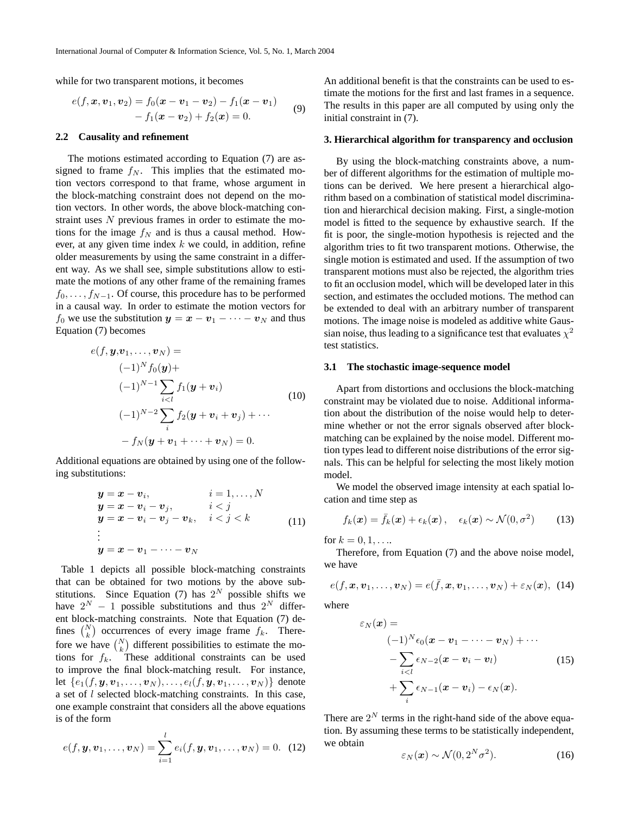while for two transparent motions, it becomes

$$
e(f, x, v_1, v_2) = f_0(x - v_1 - v_2) - f_1(x - v_1)
$$
  
-  $f_1(x - v_2) + f_2(x) = 0.$  (9)

### **2.2 Causality and refinement**

The motions estimated according to Equation (7) are assigned to frame  $f_N$ . This implies that the estimated motion vectors correspond to that frame, whose argument in the block-matching constraint does not depend on the motion vectors. In other words, the above block-matching constraint uses N previous frames in order to estimate the motions for the image  $f_N$  and is thus a causal method. However, at any given time index  $k$  we could, in addition, refine older measurements by using the same constraint in a different way. As we shall see, simple substitutions allow to estimate the motions of any other frame of the remaining frames  $f_0, \ldots, f_{N-1}$ . Of course, this procedure has to be performed in a causal way. In order to estimate the motion vectors for  $f_0$  we use the substitution  $y = x - v_1 - \cdots - v_N$  and thus Equation (7) becomes

$$
e(f, \mathbf{y}, \mathbf{v}_1, ..., \mathbf{v}_N) =
$$
  
\n
$$
(-1)^N f_0(\mathbf{y}) +
$$
  
\n
$$
(-1)^{N-1} \sum_{i < l} f_1(\mathbf{y} + \mathbf{v}_i)
$$
  
\n
$$
(-1)^{N-2} \sum_{i} f_2(\mathbf{y} + \mathbf{v}_i + \mathbf{v}_j) + \cdots
$$
  
\n
$$
-f_N(\mathbf{y} + \mathbf{v}_1 + \cdots + \mathbf{v}_N) = 0.
$$
\n(10)

Additional equations are obtained by using one of the following substitutions:

$$
y = x - v_i, \t i = 1,..., N\ny = x - v_i - v_j, \t i < j\ny = x - v_i - v_j - v_k, \t i < j < k\n\vdots\ny = x - v_1 - \cdots - v_N
$$
\n(11)

Table 1 depicts all possible block-matching constraints that can be obtained for two motions by the above substitutions. Since Equation (7) has  $2^N$  possible shifts we have  $2^N - 1$  possible substitutions and thus  $2^N$  different block-matching constraints. Note that Equation (7) defines  $\binom{N}{k}$  occurrences of every image frame  $f_k$ . Therefore we have  $\binom{N}{k}$  different possibilities to estimate the motions for  $f_k$ . These additional constraints can be used to improve the final block-matching result. For instance, let  $\{e_1(f, y, v_1, \ldots, v_N), \ldots, e_l(f, y, v_1, \ldots, v_N)\}\$  denote a set of l selected block-matching constraints. In this case, one example constraint that considers all the above equations is of the form

$$
e(f, y, v_1, \dots, v_N) = \sum_{i=1}^{l} e_i(f, y, v_1, \dots, v_N) = 0.
$$
 (12)

An additional benefit is that the constraints can be used to estimate the motions for the first and last frames in a sequence. The results in this paper are all computed by using only the initial constraint in (7).

#### **3. Hierarchical algorithm for transparency and occlusion**

By using the block-matching constraints above, a number of different algorithms for the estimation of multiple motions can be derived. We here present a hierarchical algorithm based on a combination of statistical model discrimination and hierarchical decision making. First, a single-motion model is fitted to the sequence by exhaustive search. If the fit is poor, the single-motion hypothesis is rejected and the algorithm tries to fit two transparent motions. Otherwise, the single motion is estimated and used. If the assumption of two transparent motions must also be rejected, the algorithm tries to fit an occlusion model, which will be developed later in this section, and estimates the occluded motions. The method can be extended to deal with an arbitrary number of transparent motions. The image noise is modeled as additive white Gaussian noise, thus leading to a significance test that evaluates  $\chi^2$ test statistics.

#### **3.1 The stochastic image-sequence model**

Apart from distortions and occlusions the block-matching constraint may be violated due to noise. Additional information about the distribution of the noise would help to determine whether or not the error signals observed after blockmatching can be explained by the noise model. Different motion types lead to different noise distributions of the error signals. This can be helpful for selecting the most likely motion model.

We model the observed image intensity at each spatial location and time step as

$$
f_k(\boldsymbol{x}) = \bar{f}_k(\boldsymbol{x}) + \epsilon_k(\boldsymbol{x}), \quad \epsilon_k(\boldsymbol{x}) \sim \mathcal{N}(0, \sigma^2)
$$
 (13)

for  $k = 0, 1, ...$ 

Therefore, from Equation (7) and the above noise model, we have

$$
e(f, \boldsymbol{x}, \boldsymbol{v}_1, \ldots, \boldsymbol{v}_N) = e(\bar{f}, \boldsymbol{x}, \boldsymbol{v}_1, \ldots, \boldsymbol{v}_N) + \varepsilon_N(\boldsymbol{x}), \tag{14}
$$

where

$$
\varepsilon_N(\boldsymbol{x}) =
$$
  
\n
$$
(-1)^N \epsilon_0(\boldsymbol{x} - \boldsymbol{v}_1 - \cdots - \boldsymbol{v}_N) + \cdots
$$
  
\n
$$
- \sum_{i < l} \epsilon_{N-2}(\boldsymbol{x} - \boldsymbol{v}_i - \boldsymbol{v}_l) \tag{15}
$$
  
\n
$$
+ \sum_i \epsilon_{N-1}(\boldsymbol{x} - \boldsymbol{v}_i) - \epsilon_N(\boldsymbol{x}).
$$

There are  $2^N$  terms in the right-hand side of the above equation. By assuming these terms to be statistically independent, we obtain

$$
\varepsilon_N(\mathbf{x}) \sim \mathcal{N}(0, 2^N \sigma^2). \tag{16}
$$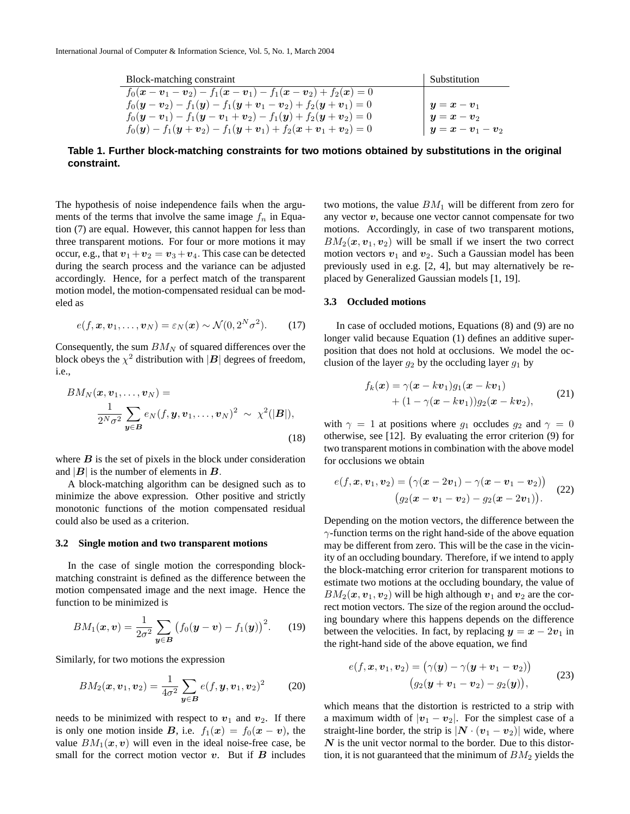| Block-matching constraint                                                                                                               | Substitution    |
|-----------------------------------------------------------------------------------------------------------------------------------------|-----------------|
| $f_0(\mathbf{x}-\mathbf{v}_1-\mathbf{v}_2)-f_1(\mathbf{x}-\mathbf{v}_1)-f_1(\mathbf{x}-\mathbf{v}_2)+f_2(\mathbf{x})=0$                 |                 |
| $f_0(\mathbf{y}-\mathbf{v}_2)-f_1(\mathbf{y})-f_1(\mathbf{y}+\mathbf{v}_1-\mathbf{v}_2)+f_2(\mathbf{y}+\mathbf{v}_1)=0$                 | $y=x-v_1$       |
| $f_0(\mathbf{y}-\mathbf{v}_1)-f_1(\mathbf{y}-\mathbf{v}_1+\mathbf{v}_2)-f_1(\mathbf{y})+f_2(\mathbf{y}+\mathbf{v}_2)=0$                 | $y=x-v_2$       |
| $f_0(\mathbf{y}) - f_1(\mathbf{y} + \mathbf{v}_2) - f_1(\mathbf{y} + \mathbf{v}_1) + f_2(\mathbf{x} + \mathbf{v}_1 + \mathbf{v}_2) = 0$ | $ y=x-v_1-v_2 $ |

**Table 1. Further block-matching constraints for two motions obtained by substitutions in the original constraint.**

The hypothesis of noise independence fails when the arguments of the terms that involve the same image  $f_n$  in Equation (7) are equal. However, this cannot happen for less than three transparent motions. For four or more motions it may occur, e.g., that  $v_1 + v_2 = v_3 + v_4$ . This case can be detected during the search process and the variance can be adjusted accordingly. Hence, for a perfect match of the transparent motion model, the motion-compensated residual can be modeled as

$$
e(f, \boldsymbol{x}, \boldsymbol{v}_1, \dots, \boldsymbol{v}_N) = \varepsilon_N(\boldsymbol{x}) \sim \mathcal{N}(0, 2^N \sigma^2).
$$
 (17)

Consequently, the sum  $BM_N$  of squared differences over the block obeys the  $\chi^2$  distribution with  $|\mathbf{B}|$  degrees of freedom, i.e.,

$$
BM_N(\boldsymbol{x}, \boldsymbol{v}_1, \dots, \boldsymbol{v}_N) =
$$
  

$$
\frac{1}{2^N \sigma^2} \sum_{\boldsymbol{y} \in \boldsymbol{B}} e_N(f, \boldsymbol{y}, \boldsymbol{v}_1, \dots, \boldsymbol{v}_N)^2 \sim \chi^2(|\boldsymbol{B}|),
$$
  
(18)

where  $\bf{B}$  is the set of pixels in the block under consideration and  $|B|$  is the number of elements in  $B$ .

A block-matching algorithm can be designed such as to minimize the above expression. Other positive and strictly monotonic functions of the motion compensated residual could also be used as a criterion.

### **3.2 Single motion and two transparent motions**

In the case of single motion the corresponding blockmatching constraint is defined as the difference between the motion compensated image and the next image. Hence the function to be minimized is

$$
BM_1(\boldsymbol{x}, \boldsymbol{v}) = \frac{1}{2\sigma^2} \sum_{\boldsymbol{y} \in \boldsymbol{B}} \big( f_0(\boldsymbol{y} - \boldsymbol{v}) - f_1(\boldsymbol{y}) \big)^2. \tag{19}
$$

Similarly, for two motions the expression

$$
BM_2(\boldsymbol{x}, \boldsymbol{v}_1, \boldsymbol{v}_2) = \frac{1}{4\sigma^2} \sum_{\boldsymbol{y} \in \boldsymbol{B}} e(f, \boldsymbol{y}, \boldsymbol{v}_1, \boldsymbol{v}_2)^2 \qquad (20)
$$

needs to be minimized with respect to  $v_1$  and  $v_2$ . If there is only one motion inside B, i.e.  $f_1(x) = f_0(x - v)$ , the value  $BM_1(x, v)$  will even in the ideal noise-free case, be small for the correct motion vector  $v$ . But if  $B$  includes two motions, the value  $BM<sub>1</sub>$  will be different from zero for any vector  $v$ , because one vector cannot compensate for two motions. Accordingly, in case of two transparent motions,  $BM_2(\mathbf{x}, \mathbf{v}_1, \mathbf{v}_2)$  will be small if we insert the two correct motion vectors  $v_1$  and  $v_2$ . Such a Gaussian model has been previously used in e.g. [2, 4], but may alternatively be replaced by Generalized Gaussian models [1, 19].

### **3.3 Occluded motions**

In case of occluded motions, Equations (8) and (9) are no longer valid because Equation (1) defines an additive superposition that does not hold at occlusions. We model the occlusion of the layer  $q_2$  by the occluding layer  $q_1$  by

$$
f_k(\boldsymbol{x}) = \gamma(\boldsymbol{x} - k\boldsymbol{v}_1)g_1(\boldsymbol{x} - k\boldsymbol{v}_1) + (1 - \gamma(\boldsymbol{x} - k\boldsymbol{v}_1))g_2(\boldsymbol{x} - k\boldsymbol{v}_2),
$$
(21)

with  $\gamma = 1$  at positions where  $g_1$  occludes  $g_2$  and  $\gamma = 0$ otherwise, see [12]. By evaluating the error criterion (9) for two transparent motions in combination with the above model for occlusions we obtain

$$
e(f, x, v_1, v_2) = (\gamma(x - 2v_1) - \gamma(x - v_1 - v_2))
$$
  

$$
(g_2(x - v_1 - v_2) - g_2(x - 2v_1)).
$$
 (22)

Depending on the motion vectors, the difference between the  $\gamma$ -function terms on the right hand-side of the above equation may be different from zero. This will be the case in the vicinity of an occluding boundary. Therefore, if we intend to apply the block-matching error criterion for transparent motions to estimate two motions at the occluding boundary, the value of  $BM_2(\mathbf{x}, \mathbf{v}_1, \mathbf{v}_2)$  will be high although  $\mathbf{v}_1$  and  $\mathbf{v}_2$  are the correct motion vectors. The size of the region around the occluding boundary where this happens depends on the difference between the velocities. In fact, by replacing  $y = x - 2v_1$  in the right-hand side of the above equation, we find

$$
e(f, \boldsymbol{x}, \boldsymbol{v}_1, \boldsymbol{v}_2) = (\gamma(\boldsymbol{y}) - \gamma(\boldsymbol{y} + \boldsymbol{v}_1 - \boldsymbol{v}_2))
$$
  

$$
(g_2(\boldsymbol{y} + \boldsymbol{v}_1 - \boldsymbol{v}_2) - g_2(\boldsymbol{y})),
$$
 (23)

which means that the distortion is restricted to a strip with a maximum width of  $|v_1 - v_2|$ . For the simplest case of a straight-line border, the strip is  $|N \cdot (v_1 - v_2)|$  wide, where  $N$  is the unit vector normal to the border. Due to this distortion, it is not guaranteed that the minimum of  $BM<sub>2</sub>$  yields the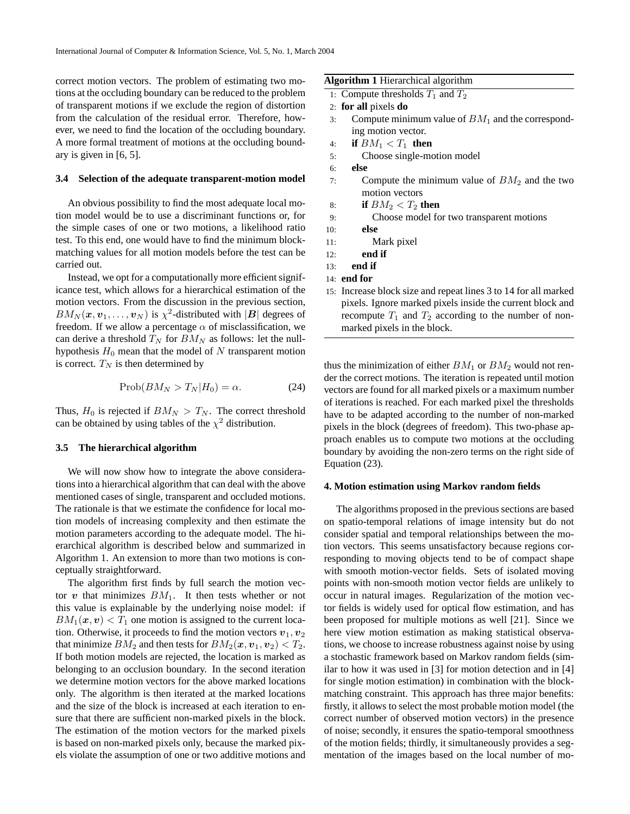correct motion vectors. The problem of estimating two motions at the occluding boundary can be reduced to the problem of transparent motions if we exclude the region of distortion from the calculation of the residual error. Therefore, however, we need to find the location of the occluding boundary. A more formal treatment of motions at the occluding boundary is given in [6, 5].

#### **3.4 Selection of the adequate transparent-motion model**

An obvious possibility to find the most adequate local motion model would be to use a discriminant functions or, for the simple cases of one or two motions, a likelihood ratio test. To this end, one would have to find the minimum blockmatching values for all motion models before the test can be carried out.

Instead, we opt for a computationally more efficient significance test, which allows for a hierarchical estimation of the motion vectors. From the discussion in the previous section,  $BM_N(\boldsymbol{x},\boldsymbol{v}_1,\ldots,\boldsymbol{v}_N)$  is  $\chi^2$ -distributed with  $|\boldsymbol{B}|$  degrees of freedom. If we allow a percentage  $\alpha$  of misclassification, we can derive a threshold  $T_N$  for  $BM_N$  as follows: let the nullhypothesis  $H_0$  mean that the model of N transparent motion is correct.  $T_N$  is then determined by

$$
Prob(BM_N > T_N | H_0) = \alpha.
$$
 (24)

Thus,  $H_0$  is rejected if  $BM_N > T_N$ . The correct threshold can be obtained by using tables of the  $\chi^2$  distribution.

# **3.5 The hierarchical algorithm**

We will now show how to integrate the above considerations into a hierarchical algorithm that can deal with the above mentioned cases of single, transparent and occluded motions. The rationale is that we estimate the confidence for local motion models of increasing complexity and then estimate the motion parameters according to the adequate model. The hierarchical algorithm is described below and summarized in Algorithm 1. An extension to more than two motions is conceptually straightforward.

The algorithm first finds by full search the motion vector  $v$  that minimizes  $BM<sub>1</sub>$ . It then tests whether or not this value is explainable by the underlying noise model: if  $BM_1(\mathbf{x}, \mathbf{v}) < T_1$  one motion is assigned to the current location. Otherwise, it proceeds to find the motion vectors  $v_1, v_2$ that minimize  $BM_2$  and then tests for  $BM_2(\mathbf{x}, \mathbf{v}_1, \mathbf{v}_2) < T_2$ . If both motion models are rejected, the location is marked as belonging to an occlusion boundary. In the second iteration we determine motion vectors for the above marked locations only. The algorithm is then iterated at the marked locations and the size of the block is increased at each iteration to ensure that there are sufficient non-marked pixels in the block. The estimation of the motion vectors for the marked pixels is based on non-marked pixels only, because the marked pixels violate the assumption of one or two additive motions and **Algorithm 1** Hierarchical algorithm

1: Compute thresholds  $T_1$  and  $T_2$ 

- 3: Compute minimum value of  $BM<sub>1</sub>$  and the corresponding motion vector.
- 4: **if**  $BM_1 < T_1$  **then**
- 5: Choose single-motion model
- 6: **else**
- 7: Compute the minimum value of  $BM<sub>2</sub>$  and the two motion vectors
- 8: **if**  $BM_2 < T_2$  then
- 9: Choose model for two transparent motions
- 10: **else**
- 11: Mark pixel
- 12: **end if**
- 13: **end if**
- 14: **end for**
- 15: Increase block size and repeat lines 3 to 14 for all marked pixels. Ignore marked pixels inside the current block and recompute  $T_1$  and  $T_2$  according to the number of nonmarked pixels in the block.

thus the minimization of either  $BM_1$  or  $BM_2$  would not render the correct motions. The iteration is repeated until motion vectors are found for all marked pixels or a maximum number of iterations is reached. For each marked pixel the thresholds have to be adapted according to the number of non-marked pixels in the block (degrees of freedom). This two-phase approach enables us to compute two motions at the occluding boundary by avoiding the non-zero terms on the right side of Equation (23).

### **4. Motion estimation using Markov random fields**

The algorithms proposed in the previous sections are based on spatio-temporal relations of image intensity but do not consider spatial and temporal relationships between the motion vectors. This seems unsatisfactory because regions corresponding to moving objects tend to be of compact shape with smooth motion-vector fields. Sets of isolated moving points with non-smooth motion vector fields are unlikely to occur in natural images. Regularization of the motion vector fields is widely used for optical flow estimation, and has been proposed for multiple motions as well [21]. Since we here view motion estimation as making statistical observations, we choose to increase robustness against noise by using a stochastic framework based on Markov random fields (similar to how it was used in [3] for motion detection and in [4] for single motion estimation) in combination with the blockmatching constraint. This approach has three major benefits: firstly, it allows to select the most probable motion model (the correct number of observed motion vectors) in the presence of noise; secondly, it ensures the spatio-temporal smoothness of the motion fields; thirdly, it simultaneously provides a segmentation of the images based on the local number of mo-

<sup>2:</sup> **for all** pixels **do**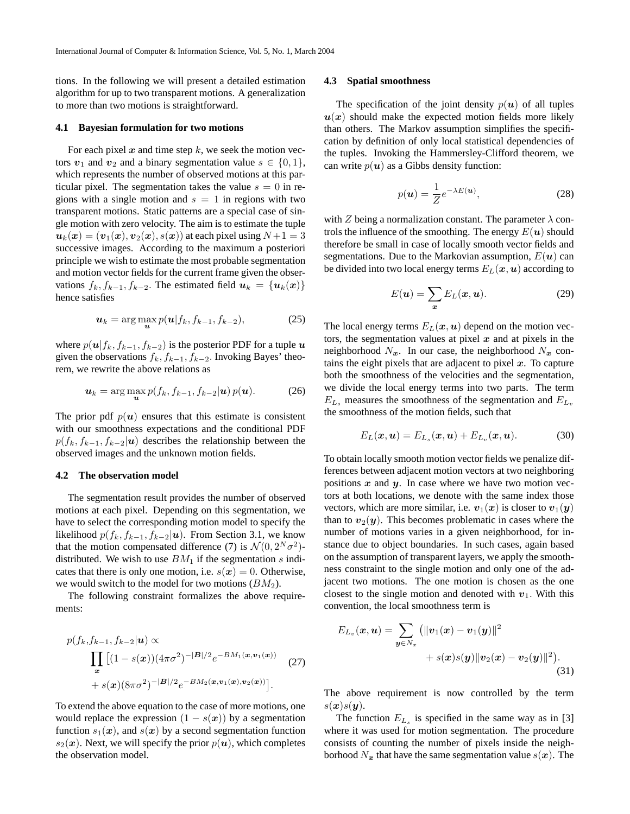tions. In the following we will present a detailed estimation algorithm for up to two transparent motions. A generalization to more than two motions is straightforward.

#### **4.1 Bayesian formulation for two motions**

For each pixel  $x$  and time step  $k$ , we seek the motion vectors  $v_1$  and  $v_2$  and a binary segmentation value  $s \in \{0, 1\}$ , which represents the number of observed motions at this particular pixel. The segmentation takes the value  $s = 0$  in regions with a single motion and  $s = 1$  in regions with two transparent motions. Static patterns are a special case of single motion with zero velocity. The aim is to estimate the tuple  $u_k(x) = (v_1(x), v_2(x), s(x))$  at each pixel using  $N+1 = 3$ successive images. According to the maximum a posteriori principle we wish to estimate the most probable segmentation and motion vector fields for the current frame given the observations  $f_k, f_{k-1}, f_{k-2}$ . The estimated field  $u_k = \{u_k(x)\}\$ hence satisfies

$$
\boldsymbol{u}_k = \arg\max_{\boldsymbol{u}} p(\boldsymbol{u}|f_k, f_{k-1}, f_{k-2}), \tag{25}
$$

where  $p(u|f_k, f_{k-1}, f_{k-2})$  is the posterior PDF for a tuple u given the observations  $f_k$ ,  $f_{k-1}$ ,  $f_{k-2}$ . Invoking Bayes' theorem, we rewrite the above relations as

$$
\boldsymbol{u}_k = \arg\max_{\boldsymbol{u}} p(f_k, f_{k-1}, f_{k-2}|\boldsymbol{u}) p(\boldsymbol{u}). \tag{26}
$$

The prior pdf  $p(u)$  ensures that this estimate is consistent with our smoothness expectations and the conditional PDF  $p(f_k, f_{k-1}, f_{k-2}|\boldsymbol{u})$  describes the relationship between the observed images and the unknown motion fields.

### **4.2 The observation model**

The segmentation result provides the number of observed motions at each pixel. Depending on this segmentation, we have to select the corresponding motion model to specify the likelihood  $p(f_k, f_{k-1}, f_{k-2}|\boldsymbol{u})$ . From Section 3.1, we know that the motion compensated difference (7) is  $\mathcal{N}(0, 2^N \sigma^2)$ distributed. We wish to use  $BM<sub>1</sub>$  if the segmentation s indicates that there is only one motion, i.e.  $s(x) = 0$ . Otherwise, we would switch to the model for two motions  $(BM<sub>2</sub>)$ .

The following constraint formalizes the above requirements:

$$
p(f_k, f_{k-1}, f_{k-2}|\mathbf{u}) \propto \prod_{\mathbf{x}} [(1 - s(\mathbf{x})) (4\pi\sigma^2)^{-|\mathbf{B}|/2} e^{-BM_1(\mathbf{x}, \mathbf{v}_1(\mathbf{x}))} \quad (27) + s(\mathbf{x}) (8\pi\sigma^2)^{-|\mathbf{B}|/2} e^{-BM_2(\mathbf{x}, \mathbf{v}_1(\mathbf{x}), \mathbf{v}_2(\mathbf{x}))}].
$$

To extend the above equation to the case of more motions, one would replace the expression  $(1 - s(x))$  by a segmentation function  $s_1(x)$ , and  $s(x)$  by a second segmentation function  $s_2(x)$ . Next, we will specify the prior  $p(u)$ , which completes the observation model.

#### **4.3 Spatial smoothness**

The specification of the joint density  $p(u)$  of all tuples  $u(x)$  should make the expected motion fields more likely than others. The Markov assumption simplifies the specification by definition of only local statistical dependencies of the tuples. Invoking the Hammersley-Clifford theorem, we can write  $p(u)$  as a Gibbs density function:

$$
p(\mathbf{u}) = \frac{1}{Z} e^{-\lambda E(\mathbf{u})},
$$
\n(28)

with Z being a normalization constant. The parameter  $\lambda$  controls the influence of the smoothing. The energy  $E(\boldsymbol{u})$  should therefore be small in case of locally smooth vector fields and segmentations. Due to the Markovian assumption,  $E(\boldsymbol{u})$  can be divided into two local energy terms  $E_L(x, u)$  according to

$$
E(\mathbf{u}) = \sum_{\mathbf{x}} E_L(\mathbf{x}, \mathbf{u}).
$$
 (29)

The local energy terms  $E_L(x, u)$  depend on the motion vectors, the segmentation values at pixel  $x$  and at pixels in the neighborhood  $N_x$ . In our case, the neighborhood  $N_x$  contains the eight pixels that are adjacent to pixel  $x$ . To capture both the smoothness of the velocities and the segmentation, we divide the local energy terms into two parts. The term  $E_{L_s}$  measures the smoothness of the segmentation and  $E_{L_v}$ the smoothness of the motion fields, such that

$$
E_L(\boldsymbol{x}, \boldsymbol{u}) = E_{L_s}(\boldsymbol{x}, \boldsymbol{u}) + E_{L_v}(\boldsymbol{x}, \boldsymbol{u}). \tag{30}
$$

To obtain locally smooth motion vector fields we penalize differences between adjacent motion vectors at two neighboring positions  $x$  and  $y$ . In case where we have two motion vectors at both locations, we denote with the same index those vectors, which are more similar, i.e.  $v_1(x)$  is closer to  $v_1(y)$ than to  $v_2(y)$ . This becomes problematic in cases where the number of motions varies in a given neighborhood, for instance due to object boundaries. In such cases, again based on the assumption of transparent layers, we apply the smoothness constraint to the single motion and only one of the adjacent two motions. The one motion is chosen as the one closest to the single motion and denoted with  $v_1$ . With this convention, the local smoothness term is

$$
E_{L_v}(\boldsymbol{x}, \boldsymbol{u}) = \sum_{\boldsymbol{y} \in N_x} (||\boldsymbol{v}_1(\boldsymbol{x}) - \boldsymbol{v}_1(\boldsymbol{y})||^2 + s(\boldsymbol{x})s(\boldsymbol{y})||\boldsymbol{v}_2(\boldsymbol{x}) - \boldsymbol{v}_2(\boldsymbol{y})||^2).
$$
\n(31)

The above requirement is now controlled by the term  $s(x)s(y)$ .

The function  $E_{L_s}$  is specified in the same way as in [3] where it was used for motion segmentation. The procedure consists of counting the number of pixels inside the neighborhood  $N_x$  that have the same segmentation value  $s(x)$ . The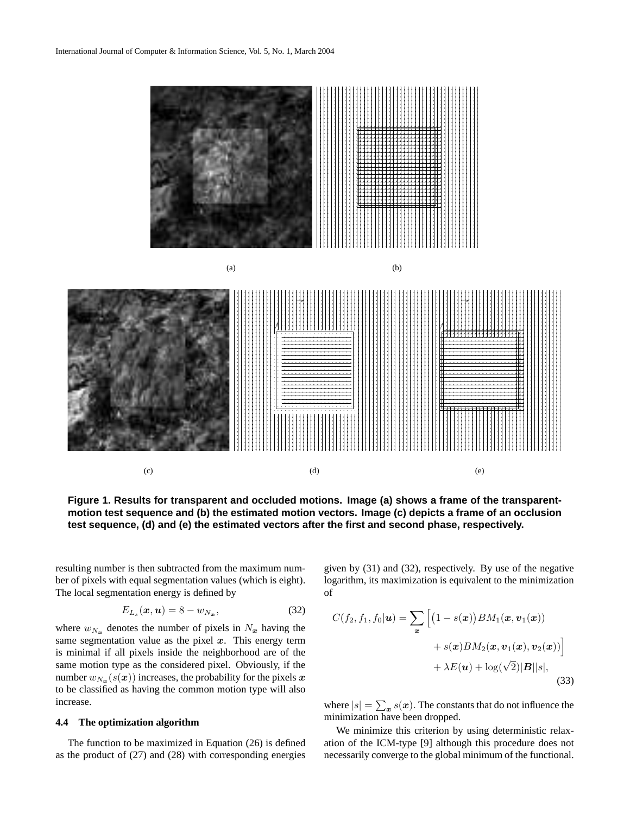

**Figure 1. Results for transparent and occluded motions. Image (a) shows a frame of the transparentmotion test sequence and (b) the estimated motion vectors. Image (c) depicts a frame of an occlusion test sequence, (d) and (e) the estimated vectors after the first and second phase, respectively.**

resulting number is then subtracted from the maximum number of pixels with equal segmentation values (which is eight). The local segmentation energy is defined by

$$
E_{L_s}(\boldsymbol{x}, \boldsymbol{u}) = 8 - w_{N_{\boldsymbol{x}}},\tag{32}
$$

where  $w_{N_x}$  denotes the number of pixels in  $N_x$  having the same segmentation value as the pixel  $x$ . This energy term is minimal if all pixels inside the neighborhood are of the same motion type as the considered pixel. Obviously, if the number  $w_{N_{\bm{x}}}(s(\bm{x}))$  increases, the probability for the pixels  $\bm{x}$ to be classified as having the common motion type will also increase.

## **4.4 The optimization algorithm**

The function to be maximized in Equation (26) is defined as the product of (27) and (28) with corresponding energies given by (31) and (32), respectively. By use of the negative logarithm, its maximization is equivalent to the minimization of

$$
C(f_2, f_1, f_0 | \mathbf{u}) = \sum_{\mathbf{x}} \left[ \left( 1 - s(\mathbf{x}) \right) BM_1(\mathbf{x}, \mathbf{v}_1(\mathbf{x})) + s(\mathbf{x}) BM_2(\mathbf{x}, \mathbf{v}_1(\mathbf{x}), \mathbf{v}_2(\mathbf{x})) \right] + \lambda E(\mathbf{u}) + \log(\sqrt{2}) |\mathbf{B}| |s|,
$$
\n(33)

where  $|s| = \sum_{\bm{x}} s(\bm{x})$ . The constants that do not influence the minimization have been dropped.

We minimize this criterion by using deterministic relaxation of the ICM-type [9] although this procedure does not necessarily converge to the global minimum of the functional.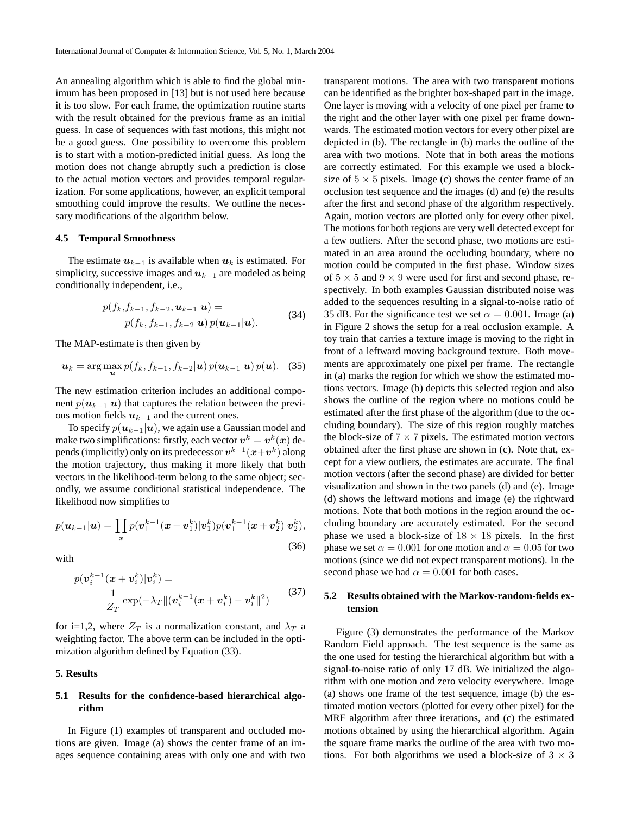An annealing algorithm which is able to find the global minimum has been proposed in [13] but is not used here because it is too slow. For each frame, the optimization routine starts with the result obtained for the previous frame as an initial guess. In case of sequences with fast motions, this might not be a good guess. One possibility to overcome this problem is to start with a motion-predicted initial guess. As long the motion does not change abruptly such a prediction is close to the actual motion vectors and provides temporal regularization. For some applications, however, an explicit temporal smoothing could improve the results. We outline the necessary modifications of the algorithm below.

## **4.5 Temporal Smoothness**

The estimate  $u_{k-1}$  is available when  $u_k$  is estimated. For simplicity, successive images and  $u_{k-1}$  are modeled as being conditionally independent, i.e.,

$$
p(f_k, f_{k-1}, f_{k-2}, \mathbf{u}_{k-1} | \mathbf{u}) = p(f_k, f_{k-1}, f_{k-2} | \mathbf{u}) p(\mathbf{u}_{k-1} | \mathbf{u}).
$$
 (34)

The MAP-estimate is then given by

$$
\boldsymbol{u}_k = \arg\max_{\boldsymbol{u}} p(f_k, f_{k-1}, f_{k-2}|\boldsymbol{u}) p(\boldsymbol{u}_{k-1}|\boldsymbol{u}) p(\boldsymbol{u}). \quad (35)
$$

The new estimation criterion includes an additional component  $p(\mathbf{u}_{k-1}|\mathbf{u})$  that captures the relation between the previous motion fields  $u_{k-1}$  and the current ones.

To specify  $p(\mathbf{u}_{k-1}|\mathbf{u})$ , we again use a Gaussian model and make two simplifications: firstly, each vector  $\boldsymbol{v}^k = \boldsymbol{v}^k(\boldsymbol{x})$  depends (implicitly) only on its predecessor  $v^{k-1}(x+v^k)$  along the motion trajectory, thus making it more likely that both vectors in the likelihood-term belong to the same object; secondly, we assume conditional statistical independence. The likelihood now simplifies to

$$
p(\boldsymbol{u}_{k-1}|\boldsymbol{u}) = \prod_{\boldsymbol{x}} p(\boldsymbol{v}_1^{k-1}(\boldsymbol{x}+\boldsymbol{v}_1^k)|\boldsymbol{v}_1^k) p(\boldsymbol{v}_1^{k-1}(\boldsymbol{x}+\boldsymbol{v}_2^k)|\boldsymbol{v}_2^k),
$$
\n(36)

with

$$
p(\boldsymbol{v}_i^{k-1}(\boldsymbol{x} + \boldsymbol{v}_i^k)|\boldsymbol{v}_i^k) =
$$
  

$$
\frac{1}{Z_T} \exp(-\lambda_T \|(\boldsymbol{v}_i^{k-1}(\boldsymbol{x} + \boldsymbol{v}_i^k) - \boldsymbol{v}_i^k\|^2)
$$
 (37)

for i=1,2, where  $Z_T$  is a normalization constant, and  $\lambda_T$  a weighting factor. The above term can be included in the optimization algorithm defined by Equation (33).

# **5. Results**

# **5.1 Results for the confidence-based hierarchical algorithm**

In Figure (1) examples of transparent and occluded motions are given. Image (a) shows the center frame of an images sequence containing areas with only one and with two transparent motions. The area with two transparent motions can be identified as the brighter box-shaped part in the image. One layer is moving with a velocity of one pixel per frame to the right and the other layer with one pixel per frame downwards. The estimated motion vectors for every other pixel are depicted in (b). The rectangle in (b) marks the outline of the area with two motions. Note that in both areas the motions are correctly estimated. For this example we used a blocksize of  $5 \times 5$  pixels. Image (c) shows the center frame of an occlusion test sequence and the images (d) and (e) the results after the first and second phase of the algorithm respectively. Again, motion vectors are plotted only for every other pixel. The motions for both regions are very well detected except for a few outliers. After the second phase, two motions are estimated in an area around the occluding boundary, where no motion could be computed in the first phase. Window sizes of  $5 \times 5$  and  $9 \times 9$  were used for first and second phase, respectively. In both examples Gaussian distributed noise was added to the sequences resulting in a signal-to-noise ratio of 35 dB. For the significance test we set  $\alpha = 0.001$ . Image (a) in Figure 2 shows the setup for a real occlusion example. A toy train that carries a texture image is moving to the right in front of a leftward moving background texture. Both movements are approximately one pixel per frame. The rectangle in (a) marks the region for which we show the estimated motions vectors. Image (b) depicts this selected region and also shows the outline of the region where no motions could be estimated after the first phase of the algorithm (due to the occluding boundary). The size of this region roughly matches the block-size of  $7 \times 7$  pixels. The estimated motion vectors obtained after the first phase are shown in (c). Note that, except for a view outliers, the estimates are accurate. The final motion vectors (after the second phase) are divided for better visualization and shown in the two panels (d) and (e). Image (d) shows the leftward motions and image (e) the rightward motions. Note that both motions in the region around the occluding boundary are accurately estimated. For the second phase we used a block-size of  $18 \times 18$  pixels. In the first phase we set  $\alpha = 0.001$  for one motion and  $\alpha = 0.05$  for two motions (since we did not expect transparent motions). In the second phase we had  $\alpha = 0.001$  for both cases.

# **5.2 Results obtained with the Markov-random-fields extension**

Figure (3) demonstrates the performance of the Markov Random Field approach. The test sequence is the same as the one used for testing the hierarchical algorithm but with a signal-to-noise ratio of only 17 dB. We initialized the algorithm with one motion and zero velocity everywhere. Image (a) shows one frame of the test sequence, image (b) the estimated motion vectors (plotted for every other pixel) for the MRF algorithm after three iterations, and (c) the estimated motions obtained by using the hierarchical algorithm. Again the square frame marks the outline of the area with two motions. For both algorithms we used a block-size of  $3 \times 3$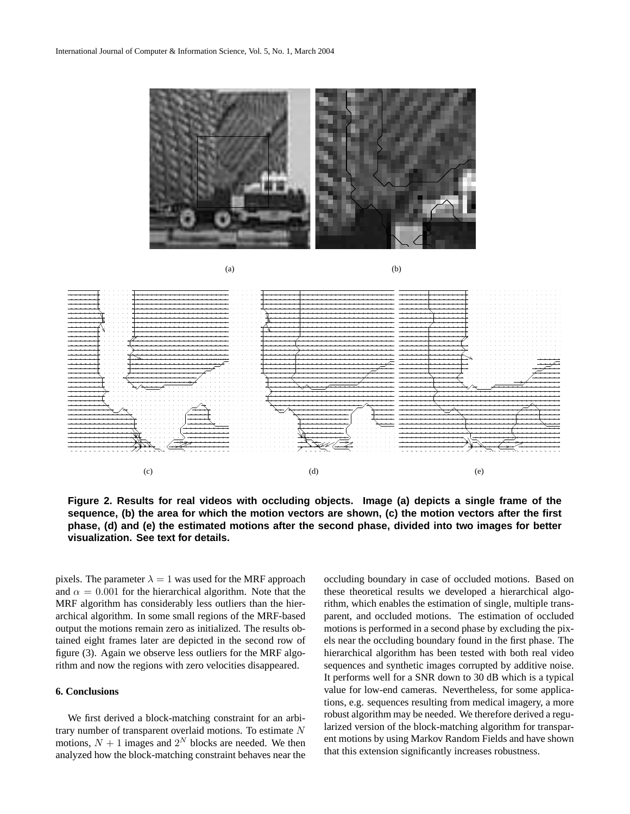

**Figure 2. Results for real videos with occluding objects. Image (a) depicts a single frame of the sequence, (b) the area for which the motion vectors are shown, (c) the motion vectors after the first phase, (d) and (e) the estimated motions after the second phase, divided into two images for better visualization. See text for details.**

pixels. The parameter  $\lambda = 1$  was used for the MRF approach and  $\alpha = 0.001$  for the hierarchical algorithm. Note that the MRF algorithm has considerably less outliers than the hierarchical algorithm. In some small regions of the MRF-based output the motions remain zero as initialized. The results obtained eight frames later are depicted in the second row of figure (3). Again we observe less outliers for the MRF algorithm and now the regions with zero velocities disappeared.

### **6. Conclusions**

We first derived a block-matching constraint for an arbitrary number of transparent overlaid motions. To estimate N motions,  $N + 1$  images and  $2^N$  blocks are needed. We then analyzed how the block-matching constraint behaves near the occluding boundary in case of occluded motions. Based on these theoretical results we developed a hierarchical algorithm, which enables the estimation of single, multiple transparent, and occluded motions. The estimation of occluded motions is performed in a second phase by excluding the pixels near the occluding boundary found in the first phase. The hierarchical algorithm has been tested with both real video sequences and synthetic images corrupted by additive noise. It performs well for a SNR down to 30 dB which is a typical value for low-end cameras. Nevertheless, for some applications, e.g. sequences resulting from medical imagery, a more robust algorithm may be needed. We therefore derived a regularized version of the block-matching algorithm for transparent motions by using Markov Random Fields and have shown that this extension significantly increases robustness.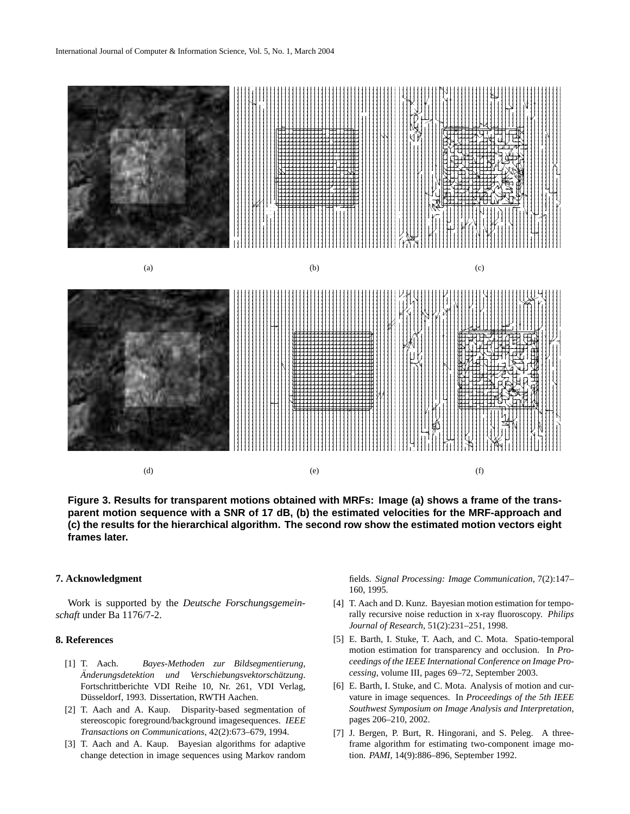

**Figure 3. Results for transparent motions obtained with MRFs: Image (a) shows a frame of the transparent motion sequence with a SNR of 17 dB, (b) the estimated velocities for the MRF-approach and (c) the results for the hierarchical algorithm. The second row show the estimated motion vectors eight frames later.**

# **7. Acknowledgment**

Work is supported by the *Deutsche Forschungsgemeinschaft* under Ba 1176/7-2.

### **8. References**

- [1] T. Aach. *Bayes-Methoden zur Bildsegmentierung,*  $\ddot{A}$ nderungsdetektion und Verschiebungsvektorschätzung. Fortschrittberichte VDI Reihe 10, Nr. 261, VDI Verlag, Düsseldorf, 1993. Dissertation, RWTH Aachen.
- [2] T. Aach and A. Kaup. Disparity-based segmentation of stereoscopic foreground/background imagesequences. *IEEE Transactions on Communications*, 42(2):673–679, 1994.
- [3] T. Aach and A. Kaup. Bayesian algorithms for adaptive change detection in image sequences using Markov random

fields. *Signal Processing: Image Communication*, 7(2):147– 160, 1995.

- [4] T. Aach and D. Kunz. Bayesian motion estimation for temporally recursive noise reduction in x-ray fluoroscopy. *Philips Journal of Research*, 51(2):231–251, 1998.
- [5] E. Barth, I. Stuke, T. Aach, and C. Mota. Spatio-temporal motion estimation for transparency and occlusion. In *Proceedings of the IEEE International Conference on Image Processing*, volume III, pages 69–72, September 2003.
- [6] E. Barth, I. Stuke, and C. Mota. Analysis of motion and curvature in image sequences. In *Proceedings of the 5th IEEE Southwest Symposium on Image Analysis and Interpretation*, pages 206–210, 2002.
- [7] J. Bergen, P. Burt, R. Hingorani, and S. Peleg. A threeframe algorithm for estimating two-component image motion. *PAMI*, 14(9):886–896, September 1992.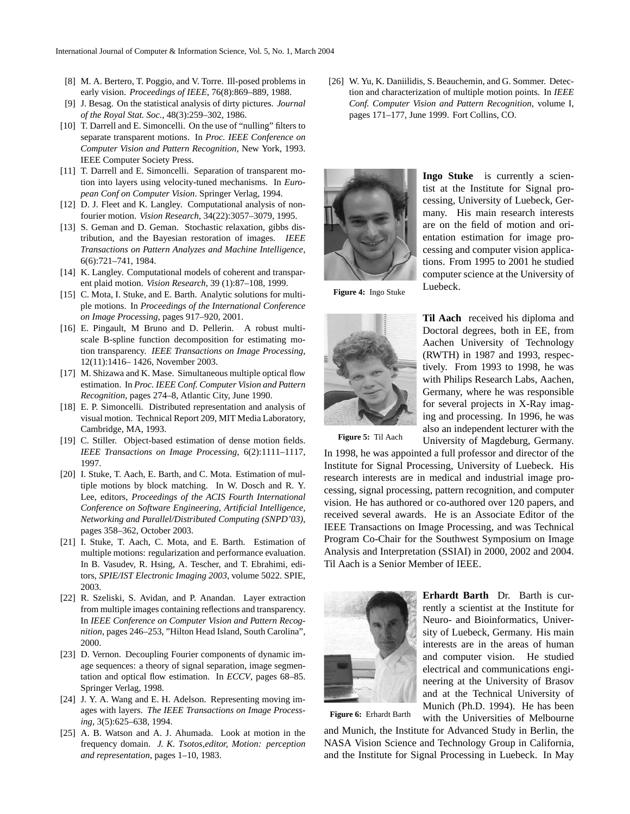- [8] M. A. Bertero, T. Poggio, and V. Torre. Ill-posed problems in early vision. *Proceedings of IEEE*, 76(8):869–889, 1988.
- [9] J. Besag. On the statistical analysis of dirty pictures. *Journal of the Royal Stat. Soc.*, 48(3):259–302, 1986.
- [10] T. Darrell and E. Simoncelli. On the use of "nulling" filters to separate transparent motions. In *Proc. IEEE Conference on Computer Vision and Pattern Recognition*, New York, 1993. IEEE Computer Society Press.
- [11] T. Darrell and E. Simoncelli. Separation of transparent motion into layers using velocity-tuned mechanisms. In *European Conf on Computer Vision*. Springer Verlag, 1994.
- [12] D. J. Fleet and K. Langley. Computational analysis of nonfourier motion. *Vision Research*, 34(22):3057–3079, 1995.
- [13] S. Geman and D. Geman. Stochastic relaxation, gibbs distribution, and the Bayesian restoration of images. *IEEE Transactions on Pattern Analyzes and Machine Intelligence*, 6(6):721–741, 1984.
- [14] K. Langley. Computational models of coherent and transparent plaid motion. *Vision Research*, 39 (1):87–108, 1999.
- [15] C. Mota, I. Stuke, and E. Barth. Analytic solutions for multiple motions. In *Proceedings of the International Conference on Image Processing*, pages 917–920, 2001.
- [16] E. Pingault, M Bruno and D. Pellerin. A robust multiscale B-spline function decomposition for estimating motion transparency. *IEEE Transactions on Image Processing*, 12(11):1416– 1426, November 2003.
- [17] M. Shizawa and K. Mase. Simultaneous multiple optical flow estimation. In *Proc. IEEE Conf. Computer Vision and Pattern Recognition*, pages 274–8, Atlantic City, June 1990.
- [18] E. P. Simoncelli. Distributed representation and analysis of visual motion. Technical Report 209, MIT Media Laboratory, Cambridge, MA, 1993.
- [19] C. Stiller. Object-based estimation of dense motion fields. *IEEE Transactions on Image Processing*, 6(2):1111–1117, 1997.
- [20] I. Stuke, T. Aach, E. Barth, and C. Mota. Estimation of multiple motions by block matching. In W. Dosch and R. Y. Lee, editors, *Proceedings of the ACIS Fourth International Conference on Software Engineering, Artificial Intelligence, Networking and Parallel/Distributed Computing (SNPD'03)*, pages 358–362, October 2003.
- [21] I. Stuke, T. Aach, C. Mota, and E. Barth. Estimation of multiple motions: regularization and performance evaluation. In B. Vasudev, R. Hsing, A. Tescher, and T. Ebrahimi, editors, *SPIE/IST Electronic Imaging 2003*, volume 5022. SPIE, 2003.
- [22] R. Szeliski, S. Avidan, and P. Anandan. Layer extraction from multiple images containing reflections and transparency. In *IEEE Conference on Computer Vision and Pattern Recognition*, pages 246–253, "Hilton Head Island, South Carolina", 2000.
- [23] D. Vernon. Decoupling Fourier components of dynamic image sequences: a theory of signal separation, image segmentation and optical flow estimation. In *ECCV*, pages 68–85. Springer Verlag, 1998.
- [24] J. Y. A. Wang and E. H. Adelson. Representing moving images with layers. *The IEEE Transactions on Image Processing*, 3(5):625–638, 1994.
- [25] A. B. Watson and A. J. Ahumada. Look at motion in the frequency domain. *J. K. Tsotos,editor, Motion: perception and representation*, pages 1–10, 1983.

[26] W. Yu, K. Daniilidis, S. Beauchemin, and G. Sommer. Detection and characterization of multiple motion points. In *IEEE Conf. Computer Vision and Pattern Recognition*, volume I, pages 171–177, June 1999. Fort Collins, CO.



**Ingo Stuke** is currently a scientist at the Institute for Signal processing, University of Luebeck, Germany. His main research interests are on the field of motion and orientation estimation for image processing and computer vision applications. From 1995 to 2001 he studied computer science at the University of Luebeck.

**Figure 4:** Ingo Stuke



**Til Aach** received his diploma and Doctoral degrees, both in EE, from Aachen University of Technology (RWTH) in 1987 and 1993, respectively. From 1993 to 1998, he was with Philips Research Labs, Aachen, Germany, where he was responsible for several projects in X-Ray imaging and processing. In 1996, he was also an independent lecturer with the University of Magdeburg, Germany.

**Figure 5:** Til Aach

In 1998, he was appointed a full professor and director of the Institute for Signal Processing, University of Luebeck. His research interests are in medical and industrial image processing, signal processing, pattern recognition, and computer vision. He has authored or co-authored over 120 papers, and received several awards. He is an Associate Editor of the IEEE Transactions on Image Processing, and was Technical Program Co-Chair for the Southwest Symposium on Image Analysis and Interpretation (SSIAI) in 2000, 2002 and 2004. Til Aach is a Senior Member of IEEE.



**Erhardt Barth** Dr. Barth is currently a scientist at the Institute for Neuro- and Bioinformatics, University of Luebeck, Germany. His main interests are in the areas of human and computer vision. He studied electrical and communications engineering at the University of Brasov and at the Technical University of Munich (Ph.D. 1994). He has been with the Universities of Melbourne

**Figure 6:** Erhardt Barth

and Munich, the Institute for Advanced Study in Berlin, the NASA Vision Science and Technology Group in California, and the Institute for Signal Processing in Luebeck. In May